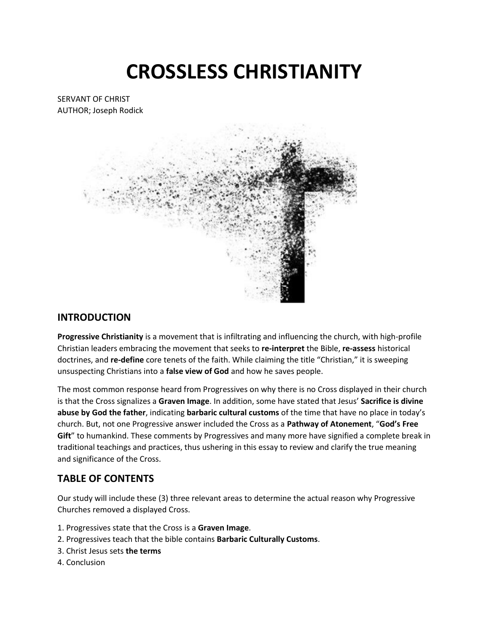# **CROSSLESS CHRISTIANITY**

SERVANT OF CHRIST AUTHOR; Joseph Rodick



### **INTRODUCTION**

**Progressive Christianity** is a movement that is infiltrating and influencing the church, with high-profile Christian leaders embracing the movement that seeks to **re-interpret** the Bible, **re-assess** historical doctrines, and **re-define** core tenets of the faith. While claiming the title "Christian," it is sweeping unsuspecting Christians into a **false view of God** and how he saves people.

The most common response heard from Progressives on why there is no Cross displayed in their church is that the Cross signalizes a **Graven Image**. In addition, some have stated that Jesus' **Sacrifice is divine abuse by God the father**, indicating **barbaric cultural customs** of the time that have no place in today's church. But, not one Progressive answer included the Cross as a **Pathway of Atonement**, "**God's Free Gift**" to humankind. These comments by Progressives and many more have signified a complete break in traditional teachings and practices, thus ushering in this essay to review and clarify the true meaning and significance of the Cross.

## **TABLE OF CONTENTS**

Our study will include these (3) three relevant areas to determine the actual reason why Progressive Churches removed a displayed Cross.

- 1. Progressives state that the Cross is a **Graven Image**.
- 2. Progressives teach that the bible contains **Barbaric Culturally Customs**.
- 3. Christ Jesus sets **the terms**
- 4. Conclusion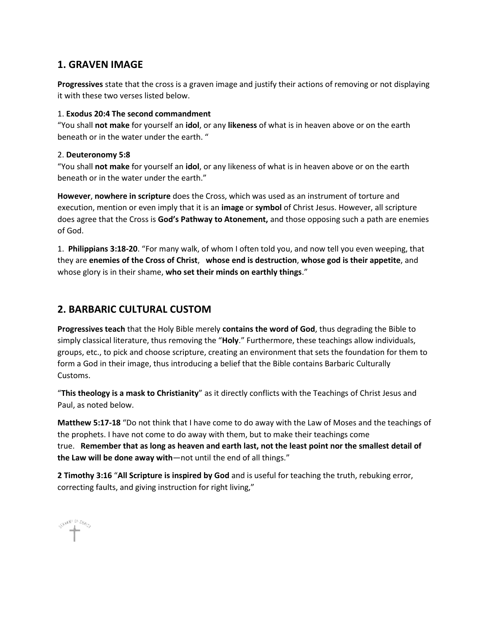## **1. GRAVEN IMAGE**

**Progressives** state that the cross is a graven image and justify their actions of removing or not displaying it with these two verses listed below.

#### 1. **Exodus 20:4 The second commandment**

"You shall **not make** for yourself an **idol**, or any **likeness** of what is in heaven above or on the earth beneath or in the water under the earth. "

#### 2. **Deuteronomy 5:8**

"You shall **not make** for yourself an **idol**, or any likeness of what is in heaven above or on the earth beneath or in the water under the earth."

**However**, **nowhere in scripture** does the Cross, which was used as an instrument of torture and execution, mention or even imply that it is an **image** or **symbol** of Christ Jesus. However, all scripture does agree that the Cross is **God's Pathway to Atonement,** and those opposing such a path are enemies of God.

1. **Philippians 3:18-20**. "For many walk, of whom I often told you, and now tell you even weeping, that they are **enemies of the Cross of Christ**, **whose end is destruction**, **whose god is their appetite**, and whose glory is in their shame, **who set their minds on earthly things**."

## **2. BARBARIC CULTURAL CUSTOM**

**Progressives teach** that the Holy Bible merely **contains the word of God**, thus degrading the Bible to simply classical literature, thus removing the "**Holy**." Furthermore, these teachings allow individuals, groups, etc., to pick and choose scripture, creating an environment that sets the foundation for them to form a God in their image, thus introducing a belief that the Bible contains Barbaric Culturally Customs.

"**This theology is a mask to Christianity**" as it directly conflicts with the Teachings of Christ Jesus and Paul, as noted below.

**Matthew 5:17-18** "Do not think that I have come to do away with the Law of Moses and the teachings of the prophets. I have not come to do away with them, but to make their teachings come true. **Remember that as long as heaven and earth last, not the least point nor the smallest detail of the Law will be done away with**—not until the end of all things."

**2 Timothy 3:16** "**All Scripture is inspired by God** and is useful for teaching the truth, rebuking error, correcting faults, and giving instruction for right living,"

SHAN IN Dig